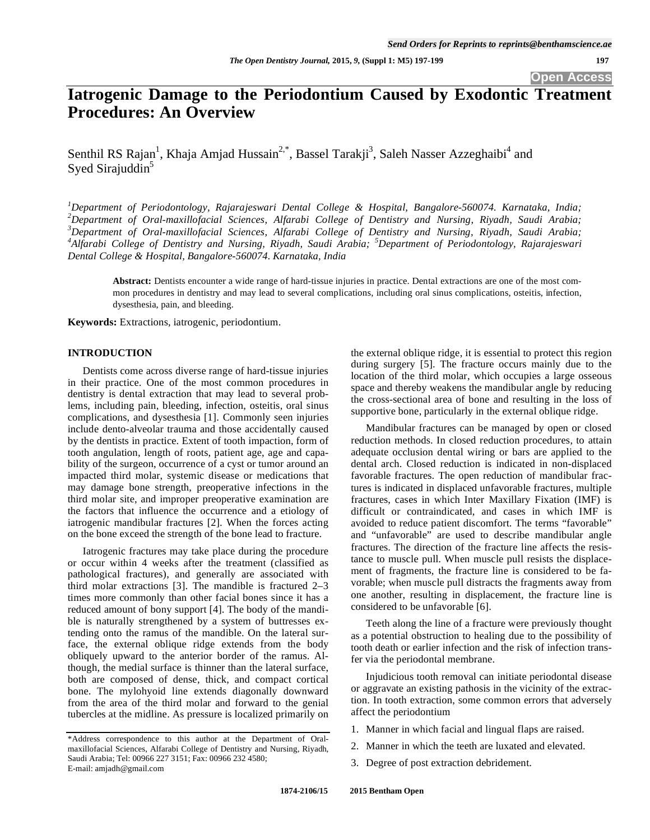# **Iatrogenic Damage to the Periodontium Caused by Exodontic Treatment Procedures: An Overview**

Senthil RS Rajan<sup>1</sup>, Khaja Amjad Hussain<sup>2,\*</sup>, Bassel Tarakji<sup>3</sup>, Saleh Nasser Azzeghaibi<sup>4</sup> and Syed Sirajuddin<sup>5</sup>

 *Department of Periodontology, Rajarajeswari Dental College & Hospital, Bangalore-560074. Karnataka, India; Department of Oral-maxillofacial Sciences, Alfarabi College of Dentistry and Nursing, Riyadh, Saudi Arabia; Department of Oral-maxillofacial Sciences, Alfarabi College of Dentistry and Nursing, Riyadh, Saudi Arabia; Alfarabi College of Dentistry and Nursing, Riyadh, Saudi Arabia; <sup>5</sup> Department of Periodontology, Rajarajeswari Dental College & Hospital, Bangalore-560074. Karnataka, India*

**Abstract:** Dentists encounter a wide range of hard-tissue injuries in practice. Dental extractions are one of the most common procedures in dentistry and may lead to several complications, including oral sinus complications, osteitis, infection, dysesthesia, pain, and bleeding.

**Keywords:** Extractions, iatrogenic, periodontium.

#### **INTRODUCTION**

Dentists come across diverse range of hard-tissue injuries in their practice. One of the most common procedures in dentistry is dental extraction that may lead to several problems, including pain, bleeding, infection, osteitis, oral sinus complications, and dysesthesia [1]. Commonly seen injuries include dento-alveolar trauma and those accidentally caused by the dentists in practice. Extent of tooth impaction, form of tooth angulation, length of roots, patient age, age and capability of the surgeon, occurrence of a cyst or tumor around an impacted third molar, systemic disease or medications that may damage bone strength, preoperative infections in the third molar site, and improper preoperative examination are the factors that influence the occurrence and a etiology of iatrogenic mandibular fractures [2]. When the forces acting on the bone exceed the strength of the bone lead to fracture.

Iatrogenic fractures may take place during the procedure or occur within 4 weeks after the treatment (classified as pathological fractures), and generally are associated with third molar extractions [3]. The mandible is fractured 2–3 times more commonly than other facial bones since it has a reduced amount of bony support [4]. The body of the mandible is naturally strengthened by a system of buttresses extending onto the ramus of the mandible. On the lateral surface, the external oblique ridge extends from the body obliquely upward to the anterior border of the ramus. Although, the medial surface is thinner than the lateral surface, both are composed of dense, thick, and compact cortical bone. The mylohyoid line extends diagonally downward from the area of the third molar and forward to the genial tubercles at the midline. As pressure is localized primarily on

the external oblique ridge, it is essential to protect this region during surgery [5]. The fracture occurs mainly due to the location of the third molar, which occupies a large osseous space and thereby weakens the mandibular angle by reducing the cross-sectional area of bone and resulting in the loss of supportive bone, particularly in the external oblique ridge.

Mandibular fractures can be managed by open or closed reduction methods. In closed reduction procedures, to attain adequate occlusion dental wiring or bars are applied to the dental arch. Closed reduction is indicated in non-displaced favorable fractures. The open reduction of mandibular fractures is indicated in displaced unfavorable fractures, multiple fractures, cases in which Inter Maxillary Fixation (IMF) is difficult or contraindicated, and cases in which IMF is avoided to reduce patient discomfort. The terms "favorable" and "unfavorable" are used to describe mandibular angle fractures. The direction of the fracture line affects the resistance to muscle pull. When muscle pull resists the displacement of fragments, the fracture line is considered to be favorable; when muscle pull distracts the fragments away from one another, resulting in displacement, the fracture line is considered to be unfavorable [6].

Teeth along the line of a fracture were previously thought as a potential obstruction to healing due to the possibility of tooth death or earlier infection and the risk of infection transfer via the periodontal membrane.

Injudicious tooth removal can initiate periodontal disease or aggravate an existing pathosis in the vicinity of the extraction. In tooth extraction, some common errors that adversely affect the periodontium

- 1. Manner in which facial and lingual flaps are raised.
- 2. Manner in which the teeth are luxated and elevated.
- 3. Degree of post extraction debridement.

<sup>\*</sup>Address correspondence to this author at the Department of Oralmaxillofacial Sciences, Alfarabi College of Dentistry and Nursing, Riyadh, Saudi Arabia; Tel: 00966 227 3151; Fax: 00966 232 4580; E-mail: amjadh@gmail.com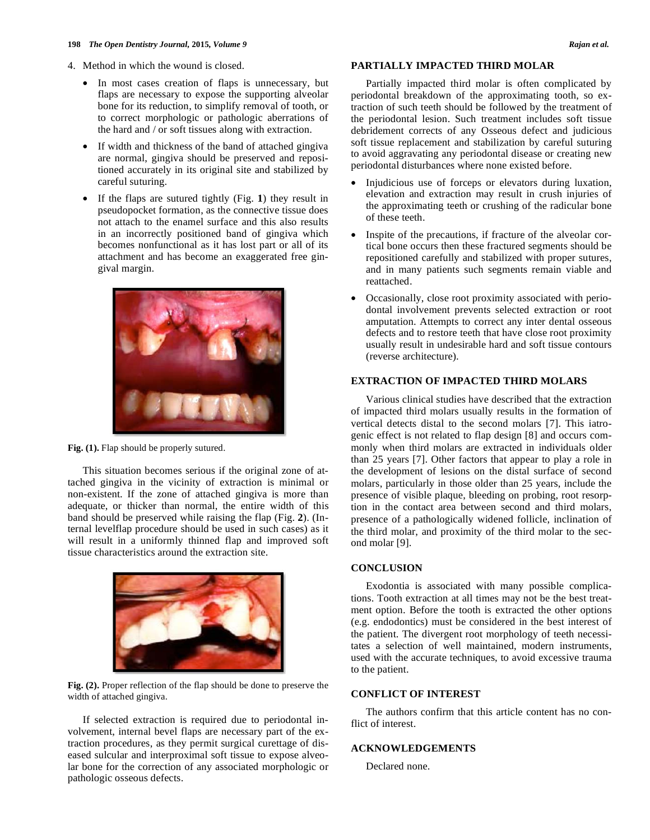- 4. Method in which the wound is closed.
	- In most cases creation of flaps is unnecessary, but flaps are necessary to expose the supporting alveolar bone for its reduction, to simplify removal of tooth, or to correct morphologic or pathologic aberrations of the hard and / or soft tissues along with extraction.
	- If width and thickness of the band of attached gingiva are normal, gingiva should be preserved and repositioned accurately in its original site and stabilized by careful suturing.
	- If the flaps are sutured tightly (Fig. **1**) they result in pseudopocket formation, as the connective tissue does not attach to the enamel surface and this also results in an incorrectly positioned band of gingiva which becomes nonfunctional as it has lost part or all of its attachment and has become an exaggerated free gingival margin.



Fig. (1). Flap should be properly sutured.

This situation becomes serious if the original zone of attached gingiva in the vicinity of extraction is minimal or non-existent. If the zone of attached gingiva is more than adequate, or thicker than normal, the entire width of this band should be preserved while raising the flap (Fig. **2**). (Internal levelflap procedure should be used in such cases) as it will result in a uniformly thinned flap and improved soft tissue characteristics around the extraction site.



**Fig. (2).** Proper reflection of the flap should be done to preserve the width of attached gingiva.

If selected extraction is required due to periodontal involvement, internal bevel flaps are necessary part of the extraction procedures, as they permit surgical curettage of diseased sulcular and interproximal soft tissue to expose alveolar bone for the correction of any associated morphologic or pathologic osseous defects.

## **PARTIALLY IMPACTED THIRD MOLAR**

Partially impacted third molar is often complicated by periodontal breakdown of the approximating tooth, so extraction of such teeth should be followed by the treatment of the periodontal lesion. Such treatment includes soft tissue debridement corrects of any Osseous defect and judicious soft tissue replacement and stabilization by careful suturing to avoid aggravating any periodontal disease or creating new periodontal disturbances where none existed before.

- Injudicious use of forceps or elevators during luxation, elevation and extraction may result in crush injuries of the approximating teeth or crushing of the radicular bone of these teeth.
- Inspite of the precautions, if fracture of the alveolar cortical bone occurs then these fractured segments should be repositioned carefully and stabilized with proper sutures, and in many patients such segments remain viable and reattached.
- Occasionally, close root proximity associated with periodontal involvement prevents selected extraction or root amputation. Attempts to correct any inter dental osseous defects and to restore teeth that have close root proximity usually result in undesirable hard and soft tissue contours (reverse architecture).

# **EXTRACTION OF IMPACTED THIRD MOLARS**

Various clinical studies have described that the extraction of impacted third molars usually results in the formation of vertical detects distal to the second molars [7]. This iatrogenic effect is not related to flap design [8] and occurs commonly when third molars are extracted in individuals older than 25 years [7]. Other factors that appear to play a role in the development of lesions on the distal surface of second molars, particularly in those older than 25 years, include the presence of visible plaque, bleeding on probing, root resorption in the contact area between second and third molars, presence of a pathologically widened follicle, inclination of the third molar, and proximity of the third molar to the second molar [9].

#### **CONCLUSION**

Exodontia is associated with many possible complications. Tooth extraction at all times may not be the best treatment option. Before the tooth is extracted the other options (e.g. endodontics) must be considered in the best interest of the patient. The divergent root morphology of teeth necessitates a selection of well maintained, modern instruments, used with the accurate techniques, to avoid excessive trauma to the patient.

### **CONFLICT OF INTEREST**

The authors confirm that this article content has no conflict of interest.

# **ACKNOWLEDGEMENTS**

Declared none.